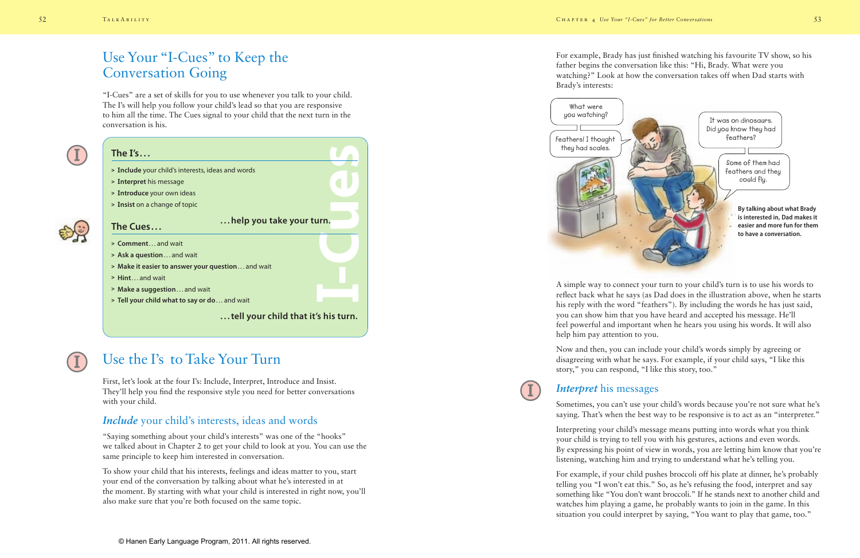# Use Your "I-Cues" to Keep the Conversation Going

"I-Cues" are a set of skills for you to use whenever you talk to your child. The I's will help you follow your child's lead so that you are responsive to him all the time. The Cues signal to your child that the next turn in the conversation is his.



### **The I's. . .**

- **> Include** your child's interests, ideas and words
- **> Interpret** his message
- **> Introduce** your own ideas
- **> Insist** on a change of topic



#### **The Cues. . .**

- **> Comment**. . . and wait
- **> Ask a question**. . . and wait
- **> Make it easier to answer your question**. . . and wait
- **> Hint**. . . and wait
- **> Make a suggestion**. . . and wait
- **> Tell your child what to say or do**. . . and wait

**. . . tell your child that it's his turn.**

**. . . help you take your turn.**

**I**

**-Cues**



# Use the I's to Take Your Turn

First, let's look at the four I's: Include, Interpret, Introduce and Insist. They'll help you find the responsive style you need for better conversations with your child.

### *Include* your child's interests, ideas and words

"Saying something about your child's interests" was one of the "hooks" we talked about in Chapter 2 to get your child to look at you. You can use the same principle to keep him interested in conversation.

To show your child that his interests, feelings and ideas matter to you, start your end of the conversation by talking about what he's interested in at the moment. By starting with what your child is interested in right now, you'll also make sure that you're both focused on the same topic.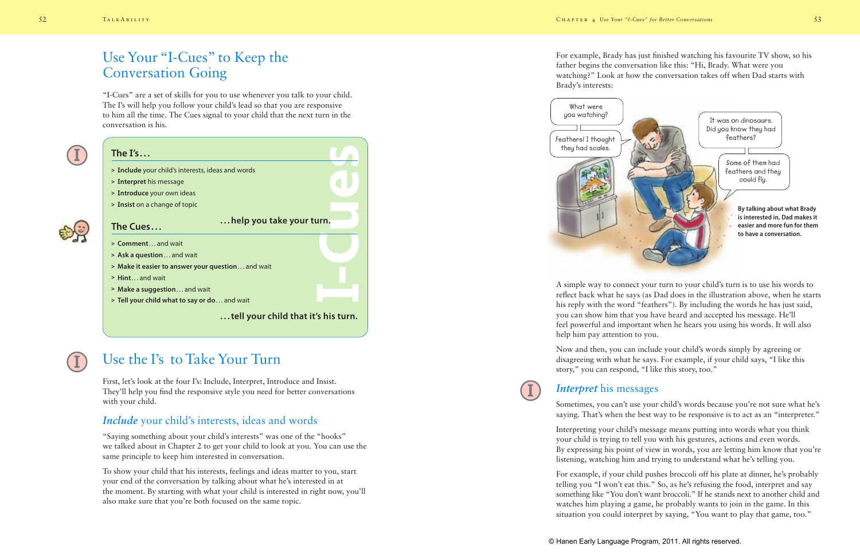For example, Brady has just finished watching his favourite TV show, so his father begins the conversation like this: "Hi, Brady. What were you watching?" Look at how the conversation takes off when Dad starts with Brady's interests:



A simple way to connect your turn to your child's turn is to use his words to reflect back what he says (as Dad does in the illustration above, when he starts his reply with the word "feathers"). By including the words he has just said, you can show him that you have heard and accepted his message. He'll feel powerful and important when he hears you using his words. It will also help him pay attention to you.

Now and then, you can include your child's words simply by agreeing or disagreeing with what he says. For example, if your child says, "I like this story," you can respond, "I like this story, too."



#### *Interpret* his messages

Sometimes, you can't use your child's words because you're not sure what he's saying. That's when the best way to be responsive is to act as an "interpreter."

Interpreting your child's message means putting into words what you think your child is trying to tell you with his gestures, actions and even words. By expressing his point of view in words, you are letting him know that you're listening, watching him and trying to understand what he's telling you.

For example, if your child pushes broccoli off his plate at dinner, he's probably telling you "I won't eat this." So, as he's refusing the food, interpret and say something like "You don't want broccoli." If he stands next to another child and watches him playing a game, he probably wants to join in the game. In this situation you could interpret by saying, "You want to play that game, too."